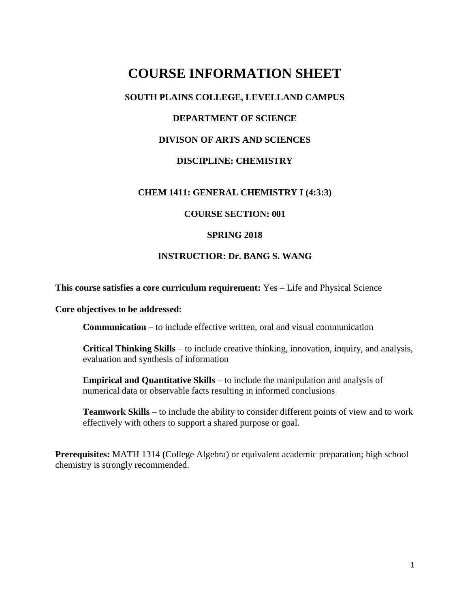# **COURSE INFORMATION SHEET**

# **SOUTH PLAINS COLLEGE, LEVELLAND CAMPUS**

# **DEPARTMENT OF SCIENCE**

#### **DIVISON OF ARTS AND SCIENCES**

## **DISCIPLINE: CHEMISTRY**

#### **CHEM 1411: GENERAL CHEMISTRY I (4:3:3)**

#### **COURSE SECTION: 001**

#### **SPRING 2018**

#### **INSTRUCTIOR: Dr. BANG S. WANG**

**This course satisfies a core curriculum requirement:** Yes – Life and Physical Science

**Core objectives to be addressed:**

**Communication** – to include effective written, oral and visual communication

**Critical Thinking Skills** – to include creative thinking, innovation, inquiry, and analysis, evaluation and synthesis of information

**Empirical and Quantitative Skills** – to include the manipulation and analysis of numerical data or observable facts resulting in informed conclusions

**Teamwork Skills** – to include the ability to consider different points of view and to work effectively with others to support a shared purpose or goal.

**Prerequisites:** MATH 1314 (College Algebra) or equivalent academic preparation; high school chemistry is strongly recommended.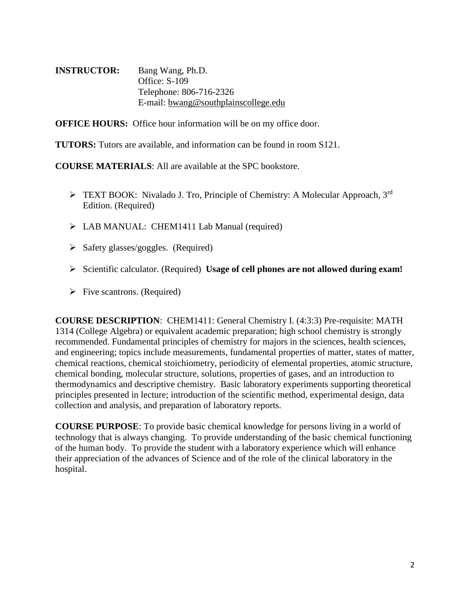**INSTRUCTOR:** Bang Wang, Ph.D. Office: S-109 Telephone: 806-716-2326 E-mail: [bwang@southplainscollege.edu](mailto:bwang@southplainscollege.edu)

**OFFICE HOURS:** Office hour information will be on my office door.

**TUTORS:** Tutors are available, and information can be found in room S121.

**COURSE MATERIALS**: All are available at the SPC bookstore.

- $\triangleright$  TEXT BOOK: Nivalado J. Tro, Principle of Chemistry: A Molecular Approach, 3<sup>rd</sup> Edition. (Required)
- > LAB MANUAL: CHEM1411 Lab Manual (required)
- $\triangleright$  Safety glasses/goggles. (Required)
- Scientific calculator. (Required) **Usage of cell phones are not allowed during exam!**
- $\triangleright$  Five scantrons. (Required)

**COURSE DESCRIPTION**: CHEM1411: General Chemistry I. (4:3:3) Pre-requisite: MATH 1314 (College Algebra) or equivalent academic preparation; high school chemistry is strongly recommended. Fundamental principles of chemistry for majors in the sciences, health sciences, and engineering; topics include measurements, fundamental properties of matter, states of matter, chemical reactions, chemical stoichiometry, periodicity of elemental properties, atomic structure, chemical bonding, molecular structure, solutions, properties of gases, and an introduction to thermodynamics and descriptive chemistry. Basic laboratory experiments supporting theoretical principles presented in lecture; introduction of the scientific method, experimental design, data collection and analysis, and preparation of laboratory reports.

**COURSE PURPOSE**: To provide basic chemical knowledge for persons living in a world of technology that is always changing. To provide understanding of the basic chemical functioning of the human body. To provide the student with a laboratory experience which will enhance their appreciation of the advances of Science and of the role of the clinical laboratory in the hospital.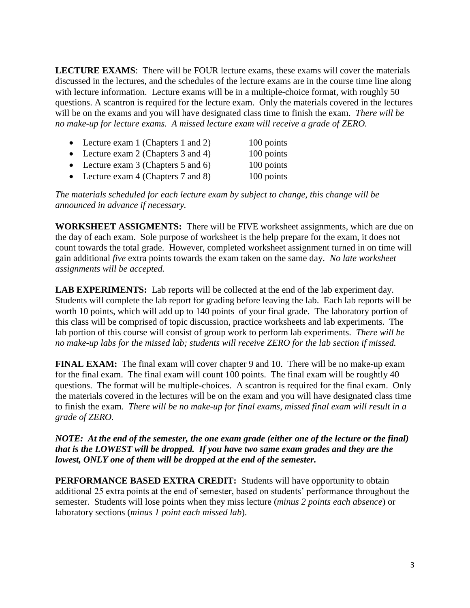**LECTURE EXAMS**: There will be FOUR lecture exams, these exams will cover the materials discussed in the lectures, and the schedules of the lecture exams are in the course time line along with lecture information. Lecture exams will be in a multiple-choice format, with roughly 50 questions. A scantron is required for the lecture exam. Only the materials covered in the lectures will be on the exams and you will have designated class time to finish the exam. *There will be no make-up for lecture exams. A missed lecture exam will receive a grade of ZERO.*

| • Lecture exam 1 (Chapters 1 and 2)        | 100 points |
|--------------------------------------------|------------|
| • Lecture exam 2 (Chapters $3$ and $4$ )   | 100 points |
| • Lecture exam $3$ (Chapters $5$ and $6$ ) | 100 points |
| • Lecture exam $4$ (Chapters 7 and 8)      | 100 points |

*The materials scheduled for each lecture exam by subject to change, this change will be announced in advance if necessary.*

**WORKSHEET ASSIGMENTS:** There will be FIVE worksheet assignments, which are due on the day of each exam. Sole purpose of worksheet is the help prepare for the exam, it does not count towards the total grade. However, completed worksheet assignment turned in on time will gain additional *five* extra points towards the exam taken on the same day. *No late worksheet assignments will be accepted.*

LAB EXPERIMENTS: Lab reports will be collected at the end of the lab experiment day. Students will complete the lab report for grading before leaving the lab. Each lab reports will be worth 10 points, which will add up to 140 points of your final grade. The laboratory portion of this class will be comprised of topic discussion, practice worksheets and lab experiments. The lab portion of this course will consist of group work to perform lab experiments. *There will be no make-up labs for the missed lab; students will receive ZERO for the lab section if missed.*

**FINAL EXAM:** The final exam will cover chapter 9 and 10. There will be no make-up exam for the final exam. The final exam will count 100 points. The final exam will be roughtly 40 questions. The format will be multiple-choices. A scantron is required for the final exam. Only the materials covered in the lectures will be on the exam and you will have designated class time to finish the exam. *There will be no make-up for final exams, missed final exam will result in a grade of ZERO.*

# *NOTE: At the end of the semester, the one exam grade (either one of the lecture or the final) that is the LOWEST will be dropped. If you have two same exam grades and they are the lowest, ONLY one of them will be dropped at the end of the semester.*

**PERFORMANCE BASED EXTRA CREDIT:** Students will have opportunity to obtain additional 25 extra points at the end of semester, based on students' performance throughout the semester. Students will lose points when they miss lecture (*minus 2 points each absence*) or laboratory sections (*minus 1 point each missed lab*).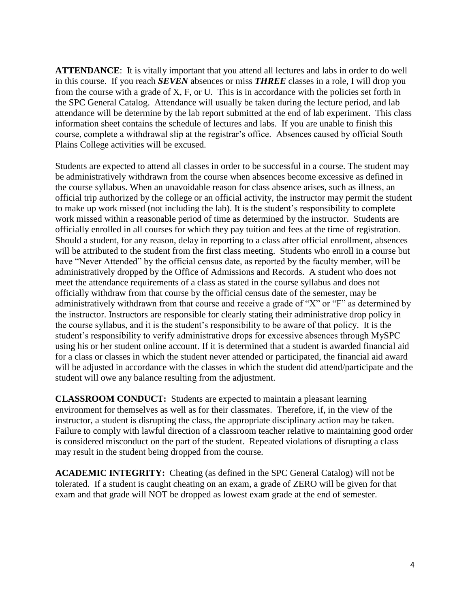**ATTENDANCE**: It is vitally important that you attend all lectures and labs in order to do well in this course. If you reach *SEVEN* absences or miss *THREE* classes in a role, I will drop you from the course with a grade of X, F, or U. This is in accordance with the policies set forth in the SPC General Catalog. Attendance will usually be taken during the lecture period, and lab attendance will be determine by the lab report submitted at the end of lab experiment. This class information sheet contains the schedule of lectures and labs. If you are unable to finish this course, complete a withdrawal slip at the registrar's office. Absences caused by official South Plains College activities will be excused.

Students are expected to attend all classes in order to be successful in a course. The student may be administratively withdrawn from the course when absences become excessive as defined in the course syllabus. When an unavoidable reason for class absence arises, such as illness, an official trip authorized by the college or an official activity, the instructor may permit the student to make up work missed (not including the lab). It is the student's responsibility to complete work missed within a reasonable period of time as determined by the instructor. Students are officially enrolled in all courses for which they pay tuition and fees at the time of registration. Should a student, for any reason, delay in reporting to a class after official enrollment, absences will be attributed to the student from the first class meeting. Students who enroll in a course but have "Never Attended" by the official census date, as reported by the faculty member, will be administratively dropped by the Office of Admissions and Records. A student who does not meet the attendance requirements of a class as stated in the course syllabus and does not officially withdraw from that course by the official census date of the semester, may be administratively withdrawn from that course and receive a grade of "X" or "F" as determined by the instructor. Instructors are responsible for clearly stating their administrative drop policy in the course syllabus, and it is the student's responsibility to be aware of that policy. It is the student's responsibility to verify administrative drops for excessive absences through MySPC using his or her student online account. If it is determined that a student is awarded financial aid for a class or classes in which the student never attended or participated, the financial aid award will be adjusted in accordance with the classes in which the student did attend/participate and the student will owe any balance resulting from the adjustment.

**CLASSROOM CONDUCT:** Students are expected to maintain a pleasant learning environment for themselves as well as for their classmates. Therefore, if, in the view of the instructor, a student is disrupting the class, the appropriate disciplinary action may be taken. Failure to comply with lawful direction of a classroom teacher relative to maintaining good order is considered misconduct on the part of the student. Repeated violations of disrupting a class may result in the student being dropped from the course.

**ACADEMIC INTEGRITY:** Cheating (as defined in the SPC General Catalog) will not be tolerated. If a student is caught cheating on an exam, a grade of ZERO will be given for that exam and that grade will NOT be dropped as lowest exam grade at the end of semester.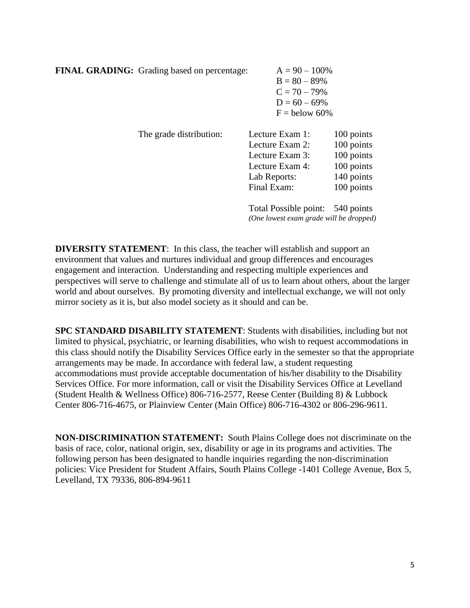|  | <b>FINAL GRADING:</b> Grading based on percentage: | $A = 90 - 100\%$ |
|--|----------------------------------------------------|------------------|
|--|----------------------------------------------------|------------------|

| $A = 90 - 100\%$ |
|------------------|
| $B = 80 - 89%$   |
| $C = 70 - 79%$   |
| $D = 60 - 69%$   |
| $F =$ below 60%  |

*(One lowest exam grade will be dropped)*

| The grade distribution: | Lecture Exam 1:<br>Lecture Exam 2:<br>Lecture Exam 3:<br>Lecture Exam 4:<br>Lab Reports:<br>Final Exam: | 100 points<br>100 points<br>100 points<br>100 points<br>140 points<br>100 points |
|-------------------------|---------------------------------------------------------------------------------------------------------|----------------------------------------------------------------------------------|
|                         | Total Possible point:                                                                                   | 540 points                                                                       |

**DIVERSITY STATEMENT**: In this class, the teacher will establish and support an environment that values and nurtures individual and group differences and encourages engagement and interaction. Understanding and respecting multiple experiences and perspectives will serve to challenge and stimulate all of us to learn about others, about the larger world and about ourselves. By promoting diversity and intellectual exchange, we will not only mirror society as it is, but also model society as it should and can be.

**SPC STANDARD DISABILITY STATEMENT**: Students with disabilities, including but not limited to physical, psychiatric, or learning disabilities, who wish to request accommodations in this class should notify the Disability Services Office early in the semester so that the appropriate arrangements may be made. In accordance with federal law, a student requesting accommodations must provide acceptable documentation of his/her disability to the Disability Services Office. For more information, call or visit the Disability Services Office at Levelland (Student Health & Wellness Office) 806-716-2577, Reese Center (Building 8) & Lubbock Center 806-716-4675, or Plainview Center (Main Office) 806-716-4302 or 806-296-9611.

**NON-DISCRIMINATION STATEMENT:** South Plains College does not discriminate on the basis of race, color, national origin, sex, disability or age in its programs and activities. The following person has been designated to handle inquiries regarding the non-discrimination policies: Vice President for Student Affairs, South Plains College -1401 College Avenue, Box 5, Levelland, TX 79336, 806-894-9611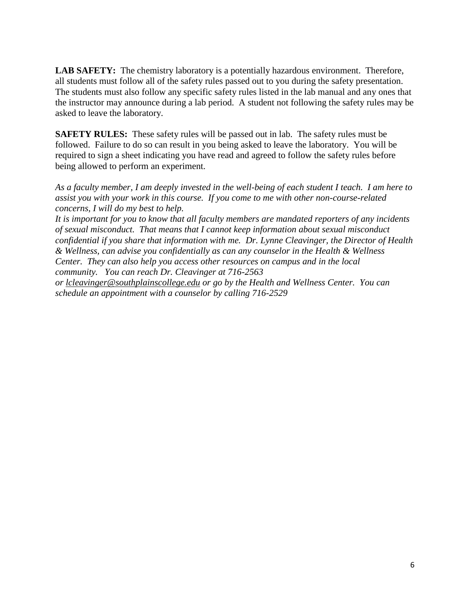**LAB SAFETY:** The chemistry laboratory is a potentially hazardous environment. Therefore, all students must follow all of the safety rules passed out to you during the safety presentation. The students must also follow any specific safety rules listed in the lab manual and any ones that the instructor may announce during a lab period. A student not following the safety rules may be asked to leave the laboratory.

**SAFETY RULES:** These safety rules will be passed out in lab. The safety rules must be followed. Failure to do so can result in you being asked to leave the laboratory. You will be required to sign a sheet indicating you have read and agreed to follow the safety rules before being allowed to perform an experiment.

*As a faculty member, I am deeply invested in the well-being of each student I teach. I am here to assist you with your work in this course. If you come to me with other non-course-related concerns, I will do my best to help.*

*It is important for you to know that all faculty members are mandated reporters of any incidents of sexual misconduct. That means that I cannot keep information about sexual misconduct confidential if you share that information with me. Dr. Lynne Cleavinger, the Director of Health & Wellness, can advise you confidentially as can any counselor in the Health & Wellness Center. They can also help you access other resources on campus and in the local community. You can reach Dr. Cleavinger at 716-2563* 

*or [lcleavinger@southplainscollege.edu](mailto:lcleavinger@southplainscollege.edu) or go by the Health and Wellness Center. You can schedule an appointment with a counselor by calling 716-2529*